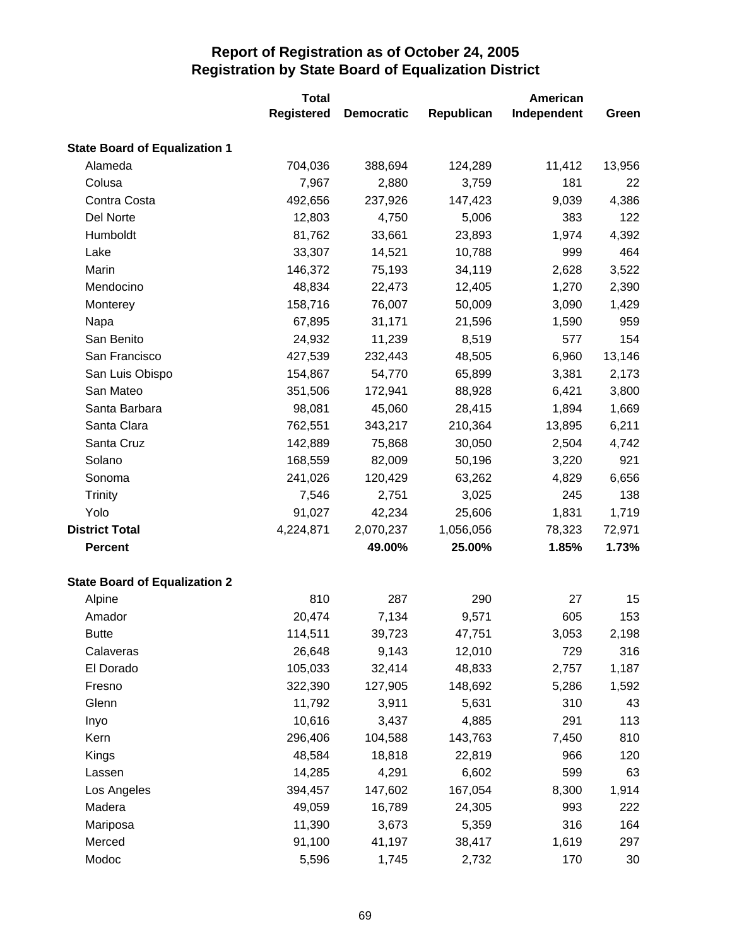|                                      | <b>Total</b>      |                   |            | American    |        |
|--------------------------------------|-------------------|-------------------|------------|-------------|--------|
|                                      | <b>Registered</b> | <b>Democratic</b> | Republican | Independent | Green  |
| <b>State Board of Equalization 1</b> |                   |                   |            |             |        |
| Alameda                              | 704,036           | 388,694           | 124,289    | 11,412      | 13,956 |
| Colusa                               | 7,967             | 2,880             | 3,759      | 181         | 22     |
| Contra Costa                         | 492,656           | 237,926           | 147,423    | 9,039       | 4,386  |
| Del Norte                            | 12,803            | 4,750             | 5,006      | 383         | 122    |
| Humboldt                             | 81,762            | 33,661            | 23,893     | 1,974       | 4,392  |
| Lake                                 | 33,307            | 14,521            | 10,788     | 999         | 464    |
| Marin                                | 146,372           | 75,193            | 34,119     | 2,628       | 3,522  |
| Mendocino                            | 48,834            | 22,473            | 12,405     | 1,270       | 2,390  |
| Monterey                             | 158,716           | 76,007            | 50,009     | 3,090       | 1,429  |
| Napa                                 | 67,895            | 31,171            | 21,596     | 1,590       | 959    |
| San Benito                           | 24,932            | 11,239            | 8,519      | 577         | 154    |
| San Francisco                        | 427,539           | 232,443           | 48,505     | 6,960       | 13,146 |
| San Luis Obispo                      | 154,867           | 54,770            | 65,899     | 3,381       | 2,173  |
| San Mateo                            | 351,506           | 172,941           | 88,928     | 6,421       | 3,800  |
| Santa Barbara                        | 98,081            | 45,060            | 28,415     | 1,894       | 1,669  |
| Santa Clara                          | 762,551           | 343,217           | 210,364    | 13,895      | 6,211  |
| Santa Cruz                           | 142,889           | 75,868            | 30,050     | 2,504       | 4,742  |
| Solano                               | 168,559           | 82,009            | 50,196     | 3,220       | 921    |
| Sonoma                               | 241,026           | 120,429           | 63,262     | 4,829       | 6,656  |
| <b>Trinity</b>                       | 7,546             | 2,751             | 3,025      | 245         | 138    |
| Yolo                                 | 91,027            | 42,234            | 25,606     | 1,831       | 1,719  |
| <b>District Total</b>                | 4,224,871         | 2,070,237         | 1,056,056  | 78,323      | 72,971 |
| <b>Percent</b>                       |                   | 49.00%            | 25.00%     | 1.85%       | 1.73%  |
| <b>State Board of Equalization 2</b> |                   |                   |            |             |        |
| Alpine                               | 810               | 287               | 290        | 27          | 15     |
| Amador                               | 20,474            | 7,134             | 9,571      | 605         | 153    |
| <b>Butte</b>                         | 114,511           | 39,723            | 47,751     | 3,053       | 2,198  |
| Calaveras                            | 26,648            | 9,143             | 12,010     | 729         | 316    |
| El Dorado                            | 105,033           | 32,414            | 48,833     | 2,757       | 1,187  |
| Fresno                               | 322,390           | 127,905           | 148,692    | 5,286       | 1,592  |
| Glenn                                | 11,792            | 3,911             | 5,631      | 310         | 43     |
| Inyo                                 | 10,616            | 3,437             | 4,885      | 291         | 113    |
| Kern                                 | 296,406           | 104,588           | 143,763    | 7,450       | 810    |
| Kings                                | 48,584            | 18,818            | 22,819     | 966         | 120    |
| Lassen                               | 14,285            | 4,291             | 6,602      | 599         | 63     |
| Los Angeles                          | 394,457           | 147,602           | 167,054    | 8,300       | 1,914  |
| Madera                               | 49,059            | 16,789            | 24,305     | 993         | 222    |
| Mariposa                             | 11,390            | 3,673             | 5,359      | 316         | 164    |
| Merced                               | 91,100            | 41,197            | 38,417     | 1,619       | 297    |
| Modoc                                | 5,596             | 1,745             | 2,732      | 170         | 30     |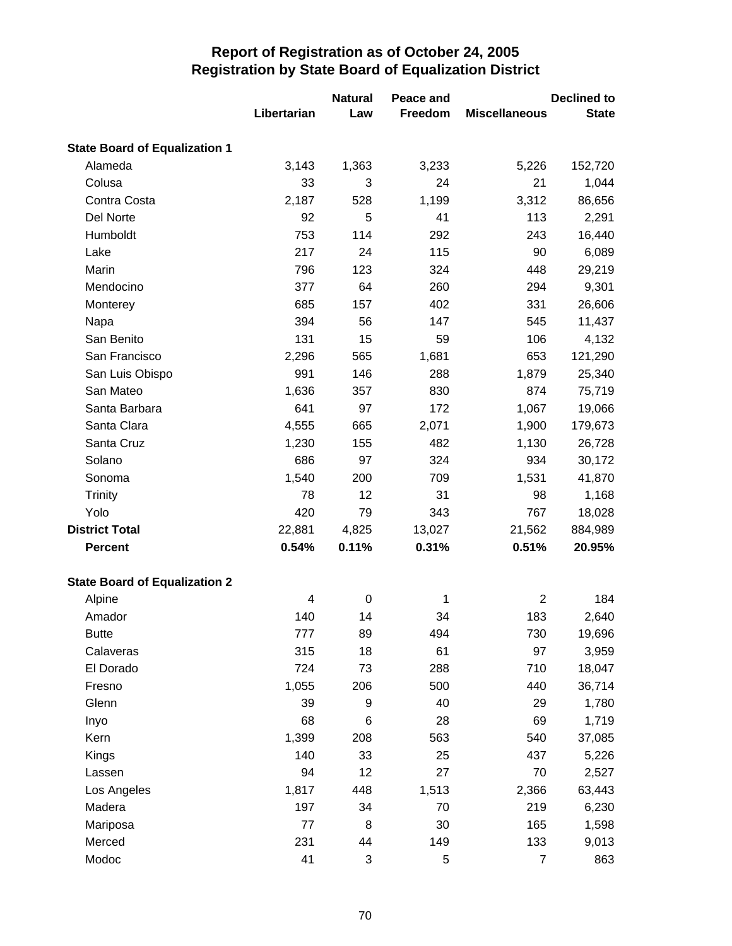|                                      |             | <b>Natural</b> | Peace and  | <b>Declined to</b>   |              |
|--------------------------------------|-------------|----------------|------------|----------------------|--------------|
|                                      | Libertarian | Law            | Freedom    | <b>Miscellaneous</b> | <b>State</b> |
| <b>State Board of Equalization 1</b> |             |                |            |                      |              |
| Alameda                              | 3,143       | 1,363          | 3,233      | 5,226                | 152,720      |
| Colusa                               | 33          | 3              | 24         | 21                   | 1,044        |
| Contra Costa                         | 2,187       | 528            | 1,199      | 3,312                | 86,656       |
| Del Norte                            | 92          | 5              | 41         | 113                  | 2,291        |
| Humboldt                             | 753         | 114            | 292        | 243                  | 16,440       |
| Lake                                 | 217         | 24             | 115        | 90                   | 6,089        |
| Marin                                | 796         | 123            | 324        | 448                  | 29,219       |
| Mendocino                            | 377         | 64             | 260        | 294                  | 9,301        |
| Monterey                             | 685         | 157            | 402        | 331                  | 26,606       |
| Napa                                 | 394         | 56             | 147        | 545                  | 11,437       |
| San Benito                           | 131         | 15             | 59         | 106                  | 4,132        |
| San Francisco                        | 2,296       | 565            | 1,681      | 653                  | 121,290      |
| San Luis Obispo                      | 991         | 146            | 288        | 1,879                | 25,340       |
| San Mateo                            | 1,636       | 357            | 830        | 874                  | 75,719       |
| Santa Barbara                        | 641         | 97             | 172        | 1,067                | 19,066       |
| Santa Clara                          | 4,555       | 665            | 2,071      | 1,900                | 179,673      |
| Santa Cruz                           | 1,230       | 155            | 482        | 1,130                | 26,728       |
| Solano                               | 686         | 97             | 324        | 934                  | 30,172       |
| Sonoma                               | 1,540       | 200            | 709        | 1,531                | 41,870       |
| Trinity                              | 78          | 12             | 31         | 98                   | 1,168        |
| Yolo                                 | 420         | 79             | 343        | 767                  | 18,028       |
| <b>District Total</b>                | 22,881      | 4,825          | 13,027     | 21,562               | 884,989      |
| <b>Percent</b>                       | 0.54%       | 0.11%          | 0.31%      | 0.51%                | 20.95%       |
| <b>State Board of Equalization 2</b> |             |                |            |                      |              |
| Alpine                               | 4           | 0              | 1          | $\overline{2}$       | 184          |
| Amador                               | 140         | 14             | 34         | 183                  | 2,640        |
| <b>Butte</b>                         | 777         | 89             | 494        | 730                  | 19,696       |
| Calaveras                            | 315         | 18             | 61         | 97                   | 3,959        |
| El Dorado                            | 724         | 73             | 288        | 710                  | 18,047       |
| Fresno                               | 1,055       | 206            | 500        | 440                  | 36,714       |
| Glenn                                | 39          | 9              | 40         | 29                   | 1,780        |
| Inyo                                 | 68          | 6              | 28         | 69                   | 1,719        |
| Kern                                 | 1,399       | 208            | 563        | 540                  | 37,085       |
| Kings                                | 140         | 33             | 25         | 437                  | 5,226        |
| Lassen                               | 94          | 12             | 27         | 70                   | 2,527        |
| Los Angeles                          | 1,817       | 448            | 1,513      | 2,366                | 63,443       |
| Madera                               | 197         | 34             | 70         | 219                  | 6,230        |
| Mariposa                             | 77          | 8              | 30         | 165                  | 1,598        |
| Merced                               | 231         | 44             | 149        | 133                  | 9,013        |
| Modoc                                | 41          | 3              | $\sqrt{5}$ | $\overline{7}$       | 863          |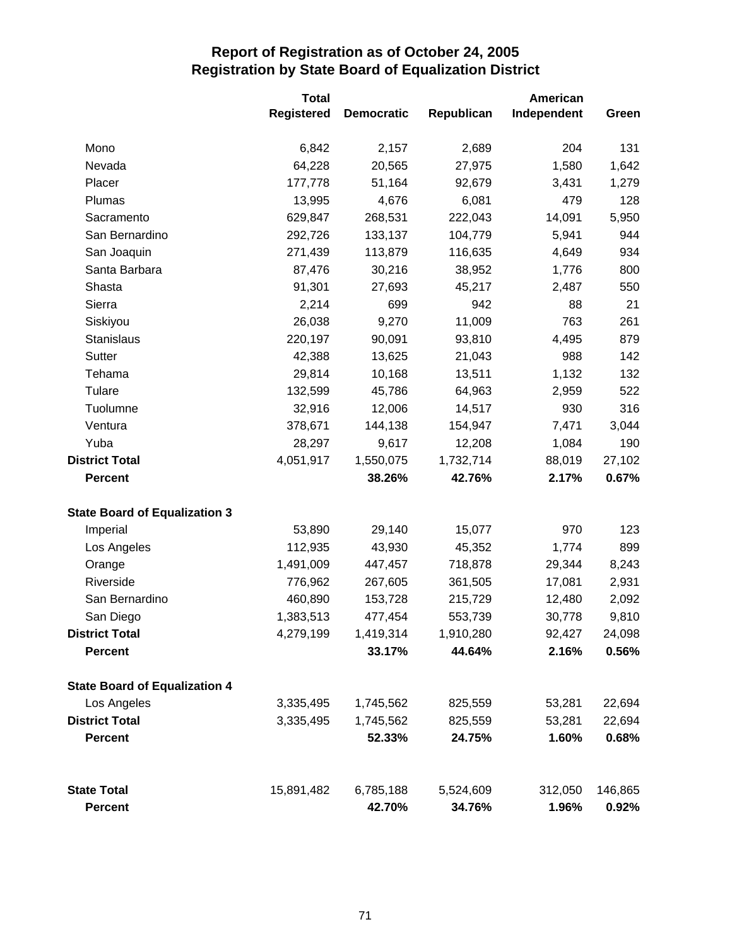|                                      | <b>Total</b>      |                   |            | American    |         |
|--------------------------------------|-------------------|-------------------|------------|-------------|---------|
|                                      | <b>Registered</b> | <b>Democratic</b> | Republican | Independent | Green   |
| Mono                                 | 6,842             | 2,157             | 2,689      | 204         | 131     |
| Nevada                               | 64,228            | 20,565            | 27,975     | 1,580       | 1,642   |
| Placer                               | 177,778           | 51,164            | 92,679     | 3,431       | 1,279   |
| Plumas                               | 13,995            | 4,676             | 6,081      | 479         | 128     |
| Sacramento                           | 629,847           | 268,531           | 222,043    | 14,091      | 5,950   |
| San Bernardino                       | 292,726           | 133,137           | 104,779    | 5,941       | 944     |
| San Joaquin                          | 271,439           | 113,879           | 116,635    | 4,649       | 934     |
| Santa Barbara                        | 87,476            | 30,216            | 38,952     | 1,776       | 800     |
| Shasta                               | 91,301            | 27,693            | 45,217     | 2,487       | 550     |
| Sierra                               | 2,214             | 699               | 942        | 88          | 21      |
| Siskiyou                             | 26,038            | 9,270             | 11,009     | 763         | 261     |
| Stanislaus                           | 220,197           | 90,091            | 93,810     | 4,495       | 879     |
| Sutter                               | 42,388            | 13,625            | 21,043     | 988         | 142     |
| Tehama                               | 29,814            | 10,168            | 13,511     | 1,132       | 132     |
| Tulare                               | 132,599           | 45,786            | 64,963     | 2,959       | 522     |
| Tuolumne                             | 32,916            | 12,006            | 14,517     | 930         | 316     |
| Ventura                              | 378,671           | 144,138           | 154,947    | 7,471       | 3,044   |
| Yuba                                 | 28,297            | 9,617             | 12,208     | 1,084       | 190     |
| <b>District Total</b>                | 4,051,917         | 1,550,075         | 1,732,714  | 88,019      | 27,102  |
| <b>Percent</b>                       |                   | 38.26%            | 42.76%     | 2.17%       | 0.67%   |
| <b>State Board of Equalization 3</b> |                   |                   |            |             |         |
| Imperial                             | 53,890            | 29,140            | 15,077     | 970         | 123     |
| Los Angeles                          | 112,935           | 43,930            | 45,352     | 1,774       | 899     |
| Orange                               | 1,491,009         | 447,457           | 718,878    | 29,344      | 8,243   |
| Riverside                            | 776,962           | 267,605           | 361,505    | 17,081      | 2,931   |
| San Bernardino                       | 460,890           | 153,728           | 215,729    | 12,480      | 2,092   |
| San Diego                            | 1,383,513         | 477,454           | 553,739    | 30,778      | 9,810   |
| <b>District Total</b>                | 4,279,199         | 1,419,314         | 1,910,280  | 92,427      | 24,098  |
| <b>Percent</b>                       |                   | 33.17%            | 44.64%     | 2.16%       | 0.56%   |
| <b>State Board of Equalization 4</b> |                   |                   |            |             |         |
| Los Angeles                          | 3,335,495         | 1,745,562         | 825,559    | 53,281      | 22,694  |
| <b>District Total</b>                | 3,335,495         | 1,745,562         | 825,559    | 53,281      | 22,694  |
| <b>Percent</b>                       |                   | 52.33%            | 24.75%     | 1.60%       | 0.68%   |
| <b>State Total</b>                   | 15,891,482        | 6,785,188         | 5,524,609  | 312,050     | 146,865 |
| <b>Percent</b>                       |                   | 42.70%            | 34.76%     | 1.96%       | 0.92%   |